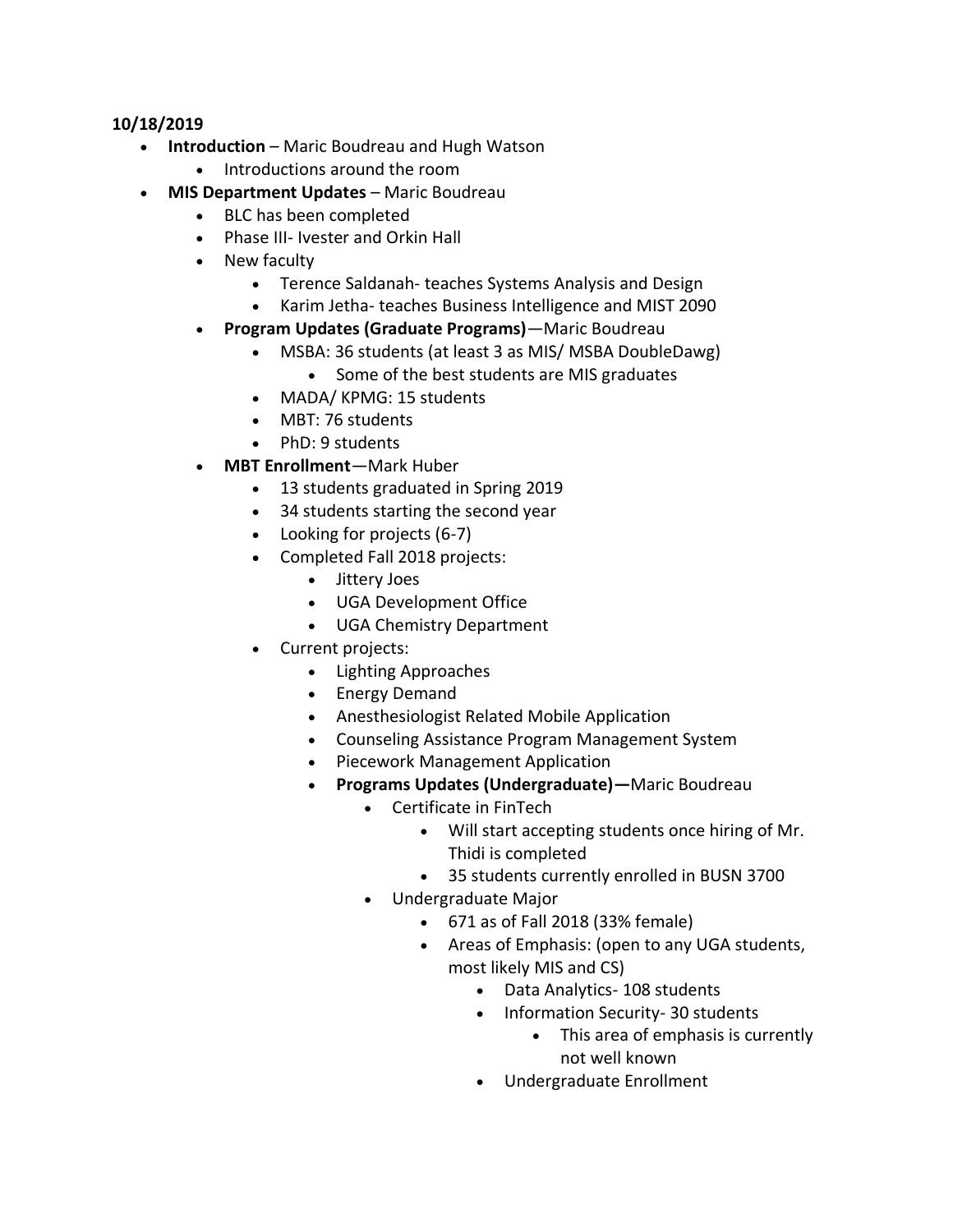#### **10/18/2019**

- **Introduction** Maric Boudreau and Hugh Watson
	- Introductions around the room
- **MIS Department Updates** Maric Boudreau
	- BLC has been completed
	- Phase III- Ivester and Orkin Hall
	- New faculty
		- Terence Saldanah- teaches Systems Analysis and Design
		- Karim Jetha- teaches Business Intelligence and MIST 2090
	- **Program Updates (Graduate Programs)**—Maric Boudreau
		- MSBA: 36 students (at least 3 as MIS/ MSBA DoubleDawg)
			- Some of the best students are MIS graduates
		- MADA/ KPMG: 15 students
		- MBT: 76 students
		- PhD: 9 students
	- **MBT Enrollment**—Mark Huber
		- 13 students graduated in Spring 2019
		- 34 students starting the second year
		- Looking for projects (6-7)
		- Completed Fall 2018 projects:
			- Jittery Joes
			- UGA Development Office
			- UGA Chemistry Department
		- Current projects:
			- Lighting Approaches
			- Energy Demand
			- Anesthesiologist Related Mobile Application
			- Counseling Assistance Program Management System
			- Piecework Management Application
			- **Programs Updates (Undergraduate)—**Maric Boudreau
				- Certificate in FinTech
					- Will start accepting students once hiring of Mr. Thidi is completed
					- 35 students currently enrolled in BUSN 3700
				- Undergraduate Major
					- 671 as of Fall 2018 (33% female)
					- Areas of Emphasis: (open to any UGA students, most likely MIS and CS)
						- Data Analytics- 108 students
						- Information Security- 30 students
							- This area of emphasis is currently not well known
						- Undergraduate Enrollment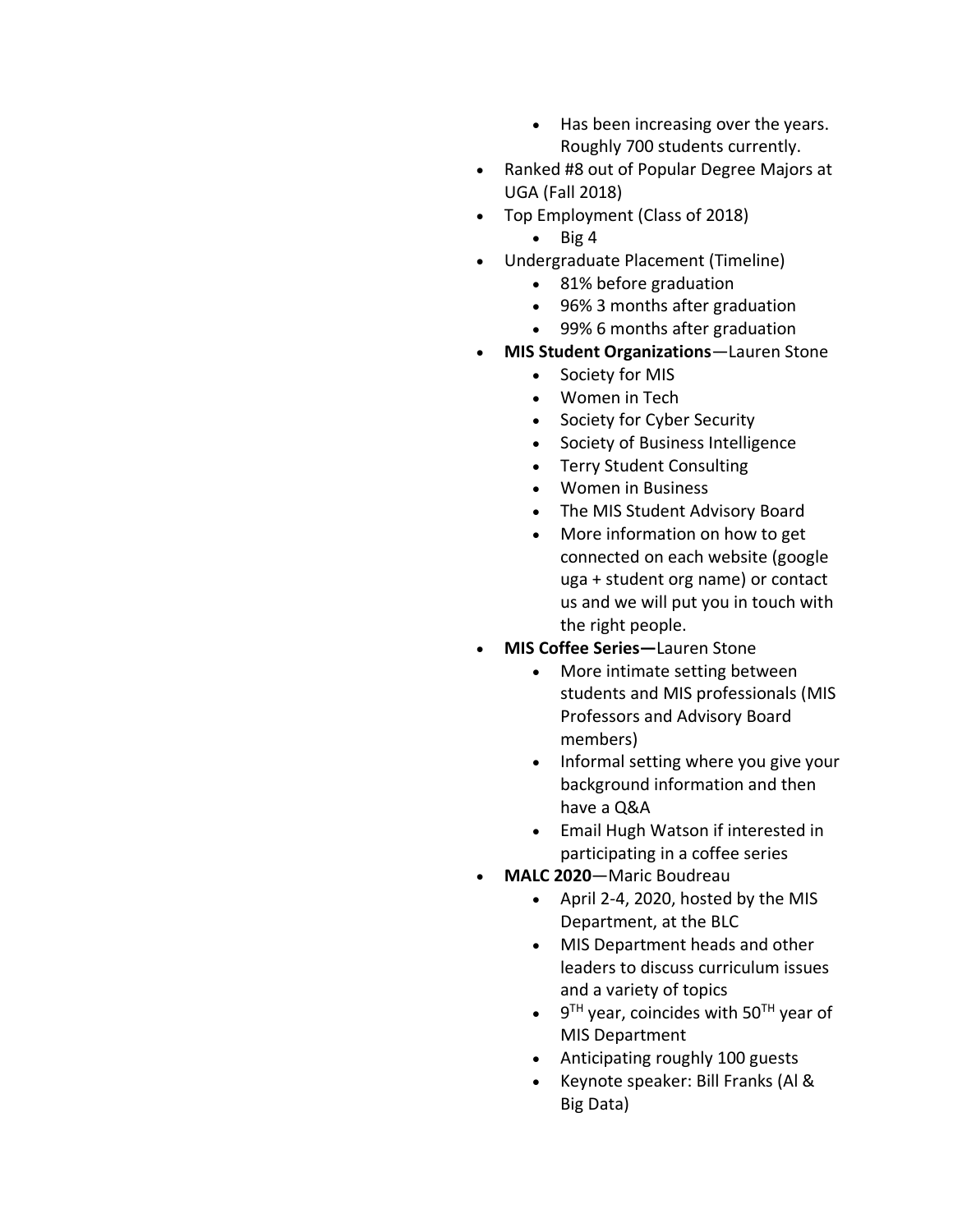- Has been increasing over the years. Roughly 700 students currently.
- Ranked #8 out of Popular Degree Majors at UGA (Fall 2018)
- Top Employment (Class of 2018)
	- $\bullet$  Big 4
- Undergraduate Placement (Timeline)
	- 81% before graduation
	- 96% 3 months after graduation
	- 99% 6 months after graduation
- **MIS Student Organizations**—Lauren Stone
	- Society for MIS
	- Women in Tech
	- Society for Cyber Security
	- Society of Business Intelligence
	- Terry Student Consulting
	- Women in Business
	- The MIS Student Advisory Board
	- More information on how to get connected on each website (google uga + student org name) or contact us and we will put you in touch with the right people.
- **MIS Coffee Series—**Lauren Stone
	- More intimate setting between students and MIS professionals (MIS Professors and Advisory Board members)
	- Informal setting where you give your background information and then have a Q&A
	- Email Hugh Watson if interested in participating in a coffee series
- **MALC 2020**—Maric Boudreau
	- April 2-4, 2020, hosted by the MIS Department, at the BLC
	- MIS Department heads and other leaders to discuss curriculum issues and a variety of topics
	- $\bullet$  9<sup>TH</sup> year, coincides with 50<sup>TH</sup> year of MIS Department
	- Anticipating roughly 100 guests
	- Keynote speaker: Bill Franks (Al & Big Data)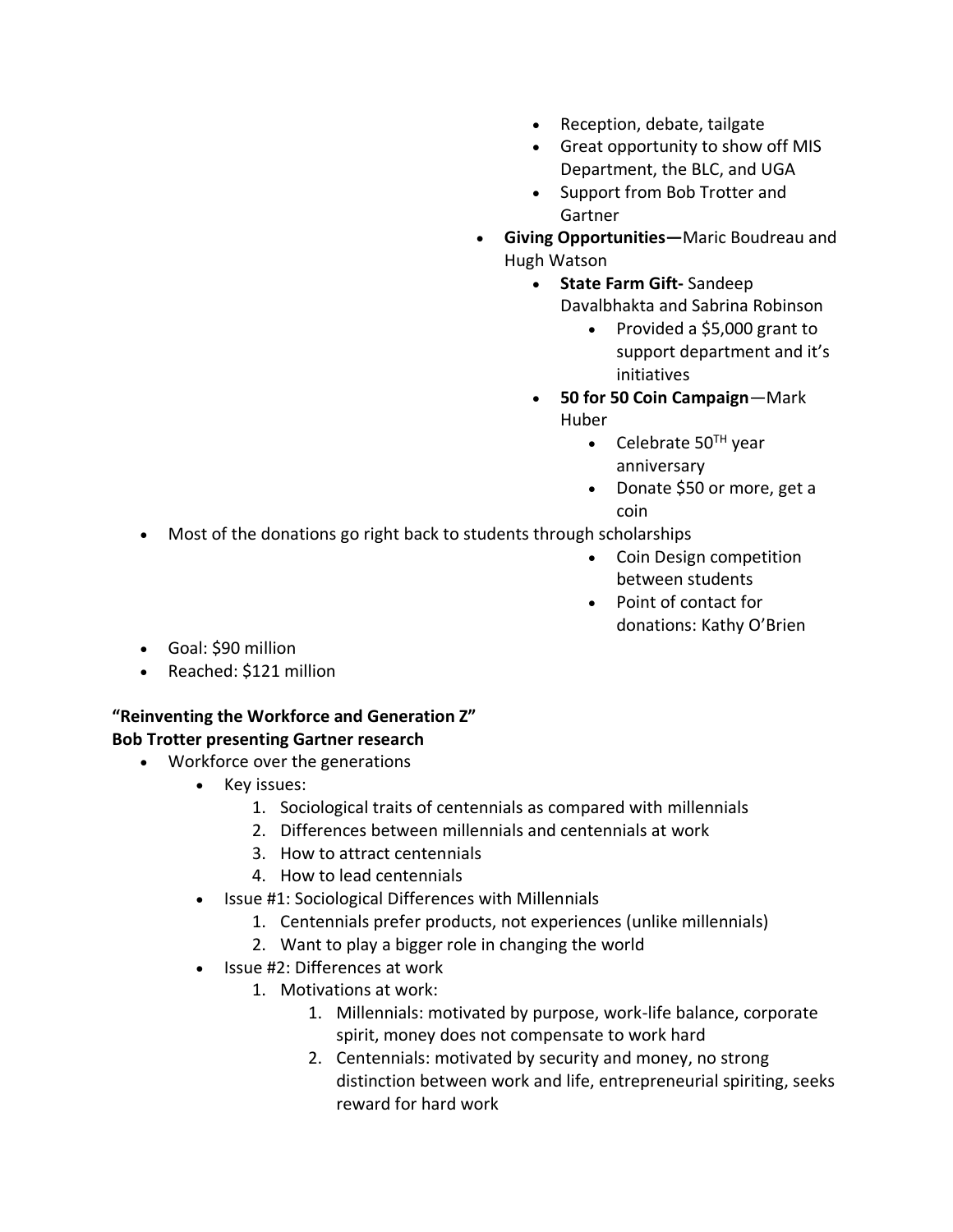- Reception, debate, tailgate
- Great opportunity to show off MIS Department, the BLC, and UGA
- Support from Bob Trotter and Gartner
- **Giving Opportunities—**Maric Boudreau and Hugh Watson
	- **State Farm Gift-** Sandeep Davalbhakta and Sabrina Robinson
		- Provided a \$5,000 grant to support department and it's initiatives
	- **50 for 50 Coin Campaign**—Mark Huber
		- Celebrate  $50<sup>TH</sup>$  year anniversary
		- Donate \$50 or more, get a coin
- Most of the donations go right back to students through scholarships
	- Coin Design competition between students
	- Point of contact for donations: Kathy O'Brien
- Goal: \$90 million
- Reached: \$121 million

# **"Reinventing the Workforce and Generation Z"**

# **Bob Trotter presenting Gartner research**

- Workforce over the generations
	- Key issues:
		- 1. Sociological traits of centennials as compared with millennials
		- 2. Differences between millennials and centennials at work
		- 3. How to attract centennials
		- 4. How to lead centennials
	- Issue #1: Sociological Differences with Millennials
		- 1. Centennials prefer products, not experiences (unlike millennials)
		- 2. Want to play a bigger role in changing the world
	- Issue #2: Differences at work
		- 1. Motivations at work:
			- 1. Millennials: motivated by purpose, work-life balance, corporate spirit, money does not compensate to work hard
			- 2. Centennials: motivated by security and money, no strong distinction between work and life, entrepreneurial spiriting, seeks reward for hard work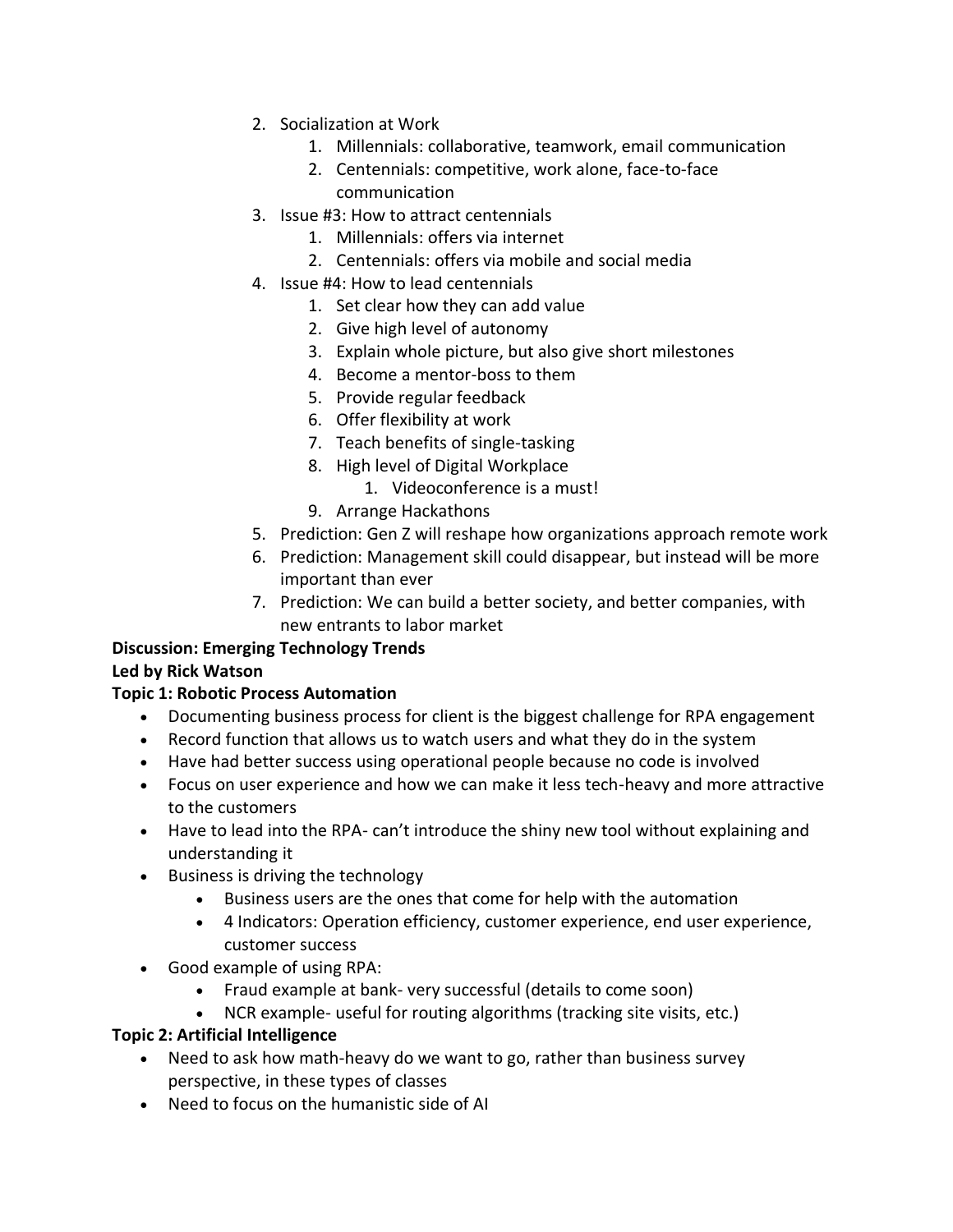- 2. Socialization at Work
	- 1. Millennials: collaborative, teamwork, email communication
	- 2. Centennials: competitive, work alone, face-to-face communication
- 3. Issue #3: How to attract centennials
	- 1. Millennials: offers via internet
	- 2. Centennials: offers via mobile and social media
- 4. Issue #4: How to lead centennials
	- 1. Set clear how they can add value
	- 2. Give high level of autonomy
	- 3. Explain whole picture, but also give short milestones
	- 4. Become a mentor-boss to them
	- 5. Provide regular feedback
	- 6. Offer flexibility at work
	- 7. Teach benefits of single-tasking
	- 8. High level of Digital Workplace
		- 1. Videoconference is a must!
	- 9. Arrange Hackathons
- 5. Prediction: Gen Z will reshape how organizations approach remote work
- 6. Prediction: Management skill could disappear, but instead will be more important than ever
- 7. Prediction: We can build a better society, and better companies, with new entrants to labor market

# **Discussion: Emerging Technology Trends**

# **Led by Rick Watson**

## **Topic 1: Robotic Process Automation**

- Documenting business process for client is the biggest challenge for RPA engagement
- Record function that allows us to watch users and what they do in the system
- Have had better success using operational people because no code is involved
- Focus on user experience and how we can make it less tech-heavy and more attractive to the customers
- Have to lead into the RPA- can't introduce the shiny new tool without explaining and understanding it
- Business is driving the technology
	- Business users are the ones that come for help with the automation
	- 4 Indicators: Operation efficiency, customer experience, end user experience, customer success
- Good example of using RPA:
	- Fraud example at bank- very successful (details to come soon)
	- NCR example- useful for routing algorithms (tracking site visits, etc.)

## **Topic 2: Artificial Intelligence**

- Need to ask how math-heavy do we want to go, rather than business survey perspective, in these types of classes
- Need to focus on the humanistic side of AI